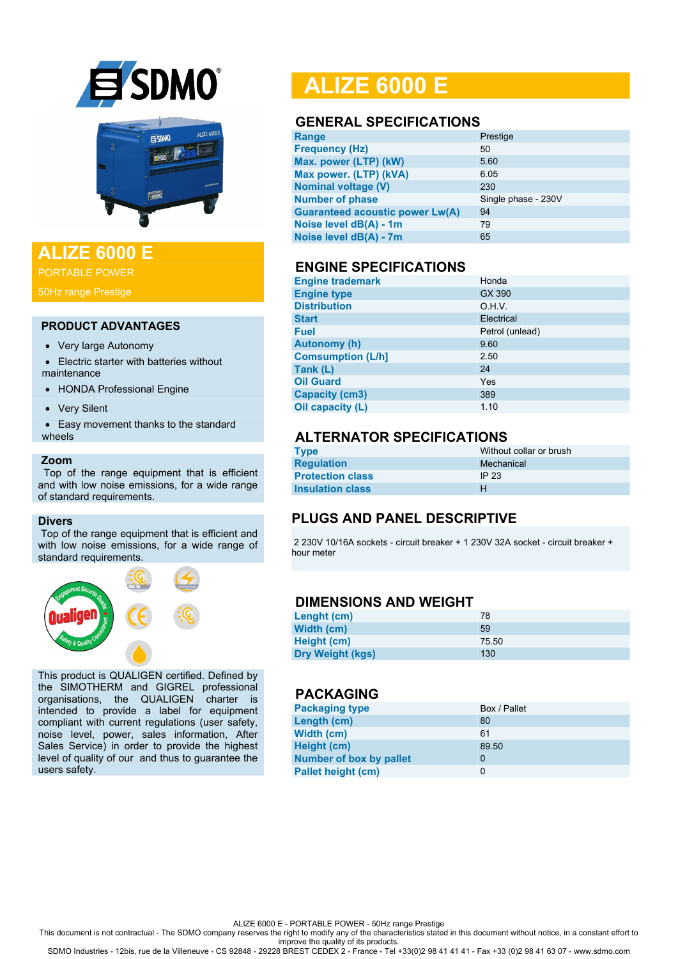



## **ALIZE 6000 E**

PORTABLE POWER

50Hz range Prestige

#### **PRODUCT ADVANTAGES**

- Very large Autonomy
- Electric starter with batteries without maintenance
- HONDA Professional Engine
- Very Silent
- Easy movement thanks to the standard wheels

#### **Zoom**

 Top of the range equipment that is efficient and with low noise emissions, for a wide range of standard requirements.

#### **Divers**

Top of the range equipment that is efficient and with low noise emissions, for a wide range of standard requirements.



This product is QUALIGEN certified. Defined by the SIMOTHERM and GIGREL professional organisations, the QUALIGEN charter is intended to provide a label for equipment compliant with current regulations (user safety, noise level, power, sales information, After Sales Service) in order to provide the highest level of quality of our and thus to guarantee the users safety.

# **ALIZE 6000 E**

#### **GENERAL SPECIFICATIONS**

| Range                                  | Prestige            |
|----------------------------------------|---------------------|
| <b>Frequency (Hz)</b>                  | 50                  |
| Max. power (LTP) (kW)                  | 5.60                |
| Max power. (LTP) (kVA)                 | 6.05                |
| <b>Nominal voltage (V)</b>             | 230                 |
| <b>Number of phase</b>                 | Single phase - 230V |
| <b>Guaranteed acoustic power Lw(A)</b> | 94                  |
| Noise level dB(A) - 1m                 | 79                  |
| Noise level dB(A) - 7m                 | 65                  |
|                                        |                     |

#### **ENGINE SPECIFICATIONS**

| <b>Engine trademark</b>  | Honda           |
|--------------------------|-----------------|
| <b>Engine type</b>       | GX 390          |
| <b>Distribution</b>      | O.H.V.          |
| <b>Start</b>             | Electrical      |
| <b>Fuel</b>              | Petrol (unlead) |
| <b>Autonomy (h)</b>      | 9.60            |
| <b>Comsumption (L/h]</b> | 2.50            |
| Tank (L)                 | 24              |
| <b>Oil Guard</b>         | Yes             |
| <b>Capacity (cm3)</b>    | 389             |
| Oil capacity (L)         | 1.10            |

## **ALTERNATOR SPECIFICATIONS**

| <b>Type</b>             | Without collar or brush |
|-------------------------|-------------------------|
| <b>Requlation</b>       | Mechanical              |
| <b>Protection class</b> | IP 23                   |
| <b>Insulation class</b> | н                       |

## **PLUGS AND PANEL DESCRIPTIVE**

2 230V 10/16A sockets - circuit breaker + 1 230V 32A socket - circuit breaker + hour meter

#### **DIMENSIONS AND WEIGHT**

| Lenght (cm)             | 78    |
|-------------------------|-------|
| Width (cm)              | 59    |
| Height (cm)             | 75.50 |
| <b>Dry Weight (kgs)</b> | 130   |

## **PACKAGING**

| <b>Packaging type</b>          | Box / Pallet |
|--------------------------------|--------------|
| Length (cm)                    | 80           |
| Width (cm)                     | 61           |
| Height (cm)                    | 89.50        |
| <b>Number of box by pallet</b> | 0            |
| <b>Pallet height (cm)</b>      | 0            |

ALIZE 6000 E - PORTABLE POWER - 50Hz range Prestige

This document is not contractual - The SDMO company reserves the right to modify any of the characteristics stated in this document without notice, in a constant effort to

improve the quality of its products. SDMO Industries - 12bis, rue de la Villeneuve - CS 92848 - 29228 BREST CEDEX 2 - France - Tel +33(0)2 98 41 41 41 - Fax +33 (0)2 98 41 63 07 - www.sdmo.com